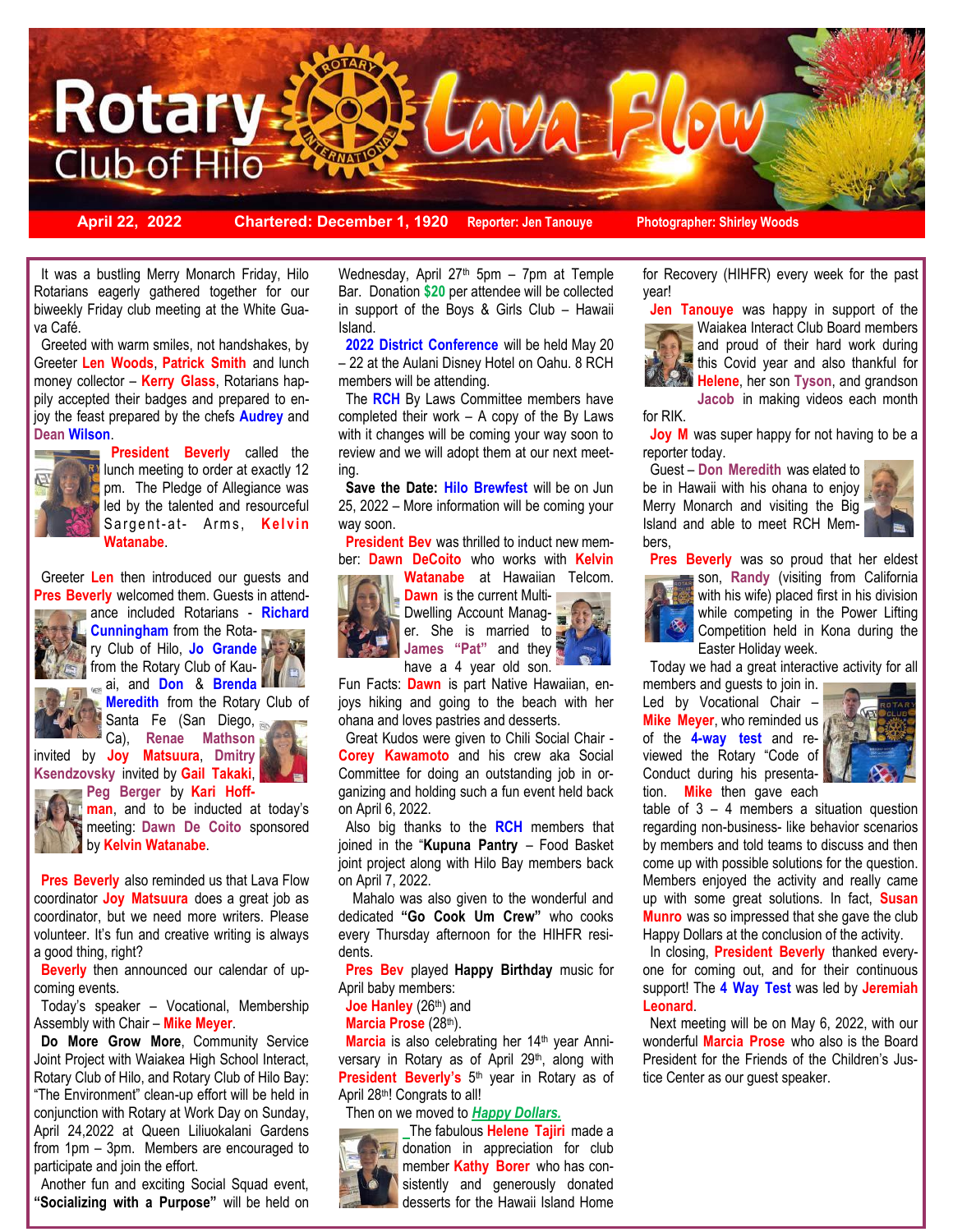

**April 22, 2022 Chartered: December 1, 1920 Reporter: Jen Tanouye Photographer: Shirley Woods**

It was a bustling Merry Monarch Friday, Hilo Rotarians eagerly gathered together for our biweekly Friday club meeting at the White Guava Café.

 Greeted with warm smiles, not handshakes, by Greeter **Len Woods**, **Patrick Smith** and lunch money collector – **Kerry Glass**, Rotarians happily accepted their badges and prepared to enjoy the feast prepared by the chefs **Audrey** and **Dean Wilson**.



**President Beverly** called the lunch meeting to order at exactly 12 pm. The Pledge of Allegiance was led by the talented and resourceful Sargent-at- Arms, Kelvin **Watanabe**.

 Greeter **Len** then introduced our guests and **Pres Beverly** welcomed them. Guests in attendance included Rotarians - **Richard** 



**Cunningham** from the Rotary Club of Hilo, **Jo Grande** from the Rotary Club of Kauai, and **Don** & **Brenda** 



**Ksendzovsky** invited by **Gail Takaki**, **Peg Berger** by **Kari Hoff-**



**man**, and to be inducted at today's meeting: **Dawn De Coito** sponsored by **Kelvin Watanabe**.

 **Pres Beverly** also reminded us that Lava Flow coordinator **Joy Matsuura** does a great job as coordinator, but we need more writers. Please volunteer. It's fun and creative writing is always a good thing, right?

 **Beverly** then announced our calendar of upcoming events.

 Today's speaker – Vocational, Membership Assembly with Chair – **Mike Meyer**.

 **Do More Grow More**, Community Service Joint Project with Waiakea High School Interact, Rotary Club of Hilo, and Rotary Club of Hilo Bay: "The Environment" clean-up effort will be held in conjunction with Rotary at Work Day on Sunday, April 24,2022 at Queen Liliuokalani Gardens from 1pm – 3pm. Members are encouraged to participate and join the effort.

 Another fun and exciting Social Squad event, **"Socializing with a Purpose"** will be held on

Wednesday, April  $27<sup>th</sup>$  5pm – 7pm at Temple Bar. Donation **\$20** per attendee will be collected in support of the Boys & Girls Club – Hawaii Island.

 **2022 District Conference** will be held May 20 – 22 at the Aulani Disney Hotel on Oahu. 8 RCH members will be attending.

 The **RCH** By Laws Committee members have completed their work – A copy of the By Laws with it changes will be coming your way soon to review and we will adopt them at our next meeting.

 **Save the Date: Hilo Brewfest** will be on Jun 25, 2022 – More information will be coming your way soon.

**President Bev** was thrilled to induct new member: **Dawn DeCoito** who works with **Kelvin** 



**Watanabe** at Hawaiian Telcom. **Dawn** is the current Multi-Dwelling Account Manager. She is married to **James "Pat"** and they

have a 4 year old son. Fun Facts: **Dawn** is part Native Hawaiian, enjoys hiking and going to the beach with her ohana and loves pastries and desserts.

 Great Kudos were given to Chili Social Chair - **Corey Kawamoto** and his crew aka Social Committee for doing an outstanding job in organizing and holding such a fun event held back on April 6, 2022.

 Also big thanks to the **RCH** members that joined in the "**Kupuna Pantry** – Food Basket joint project along with Hilo Bay members back on April 7, 2022.

 Mahalo was also given to the wonderful and dedicated **"Go Cook Um Crew"** who cooks every Thursday afternoon for the HIHFR residents.

 **Pres Bev** played **Happy Birthday** music for April baby members:

Joe Hanley (26<sup>th</sup>) and

**Marcia Prose** (28th).

Marcia is also celebrating her 14<sup>th</sup> year Anniversary in Rotary as of April 29<sup>th</sup>, along with **President Beverly's** 5 th year in Rotary as of April 28th! Congrats to all!

Then on we moved to *Happy Dollars.* 



The fabulous **Helene Tajiri** made a donation in appreciation for club member **Kathy Borer** who has consistently and generously donated desserts for the Hawaii Island Home

for Recovery (HIHFR) every week for the past year!

 **Jen Tanouye** was happy in support of the Waiakea Interact Club Board members and proud of their hard work during this Covid year and also thankful for **Helene**, her son **Tyson**, and grandson

**Jacob** in making videos each month for RIK.

**Joy M** was super happy for not having to be a reporter today.

 Guest – **Don Meredith** was elated to be in Hawaii with his ohana to enjoy Merry Monarch and visiting the Big Island and able to meet RCH Members,



**Pres Beverly** was so proud that her eldest



son, **Randy** (visiting from California with his wife) placed first in his division while competing in the Power Lifting Competition held in Kona during the Easter Holiday week.

 Today we had a great interactive activity for all members and guests to join in.

Led by Vocational Chair – **Mike Meyer**, who reminded us of the **4-way test** and reviewed the Rotary "Code of Conduct during his presentation. **Mike** then gave each



table of  $3 - 4$  members a situation question regarding non-business- like behavior scenarios by members and told teams to discuss and then come up with possible solutions for the question. Members enjoyed the activity and really came up with some great solutions. In fact, **Susan Munro** was so impressed that she gave the club Happy Dollars at the conclusion of the activity.

 In closing, **President Beverly** thanked everyone for coming out, and for their continuous support! The **4 Way Test** was led by **Jeremiah Leonard**.

 Next meeting will be on May 6, 2022, with our wonderful **Marcia Prose** who also is the Board President for the Friends of the Children's Justice Center as our guest speaker.